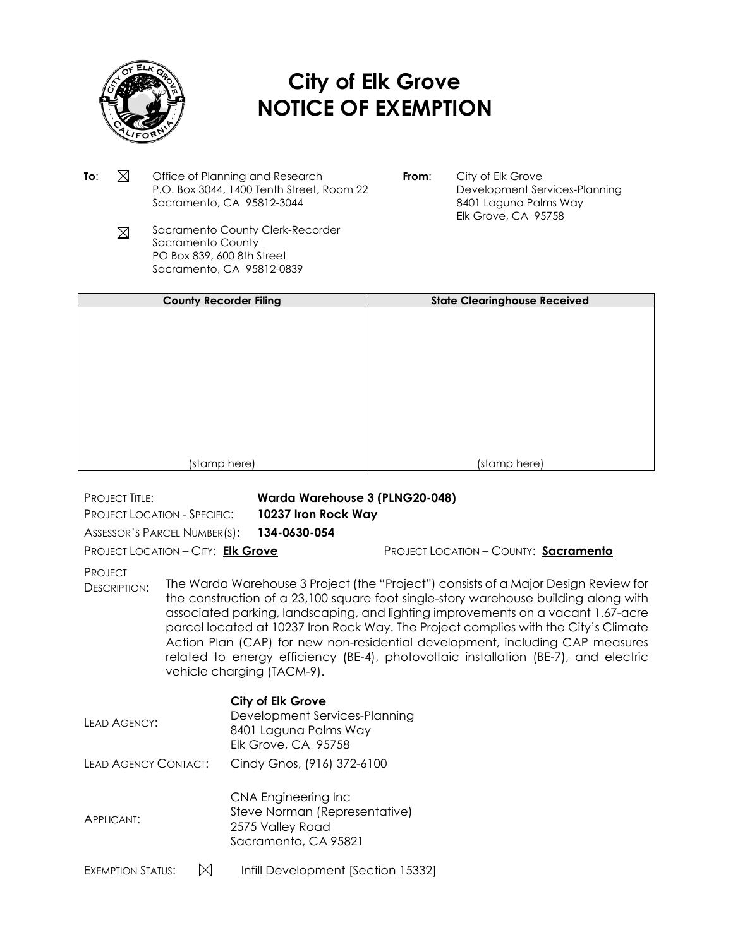

## **City of Elk Grove NOTICE OF EXEMPTION**

- **To:**  $\boxtimes$  Office of Planning and Research P.O. Box 3044, 1400 Tenth Street, Room 22 Sacramento, CA 95812-3044
- **From**: City of Elk Grove Development Services-Planning 8401 Laguna Palms Way Elk Grove, CA 95758
- Sacramento County Clerk-Recorder  $\boxtimes$ Sacramento County PO Box 839, 600 8th Street Sacramento, CA 95812-0839

| <b>County Recorder Filing</b> | <b>State Clearinghouse Received</b> |
|-------------------------------|-------------------------------------|
|                               |                                     |
|                               |                                     |
|                               |                                     |
|                               |                                     |
|                               |                                     |
|                               |                                     |
|                               |                                     |
|                               |                                     |
|                               |                                     |
| (stamp here)                  | (stamp here)                        |

PROJECT TITLE: **Warda Warehouse 3 (PLNG20-048)**

PROJECT LOCATION - SPECIFIC: **10237 Iron Rock Way**

ASSESSOR'S PARCEL NUMBER(S): **134-0630-054**

PROJECT LOCATION – CITY: **Elk Grove** PROJECT LOCATION – COUNTY: **Sacramento**

**PROJECT** 

DESCRIPTION: The Warda Warehouse 3 Project (the "Project") consists of a Major Design Review for the construction of a 23,100 square foot single-story warehouse building along with associated parking, landscaping, and lighting improvements on a vacant 1.67-acre parcel located at 10237 Iron Rock Way. The Project complies with the City's Climate Action Plan (CAP) for new non-residential development, including CAP measures related to energy efficiency (BE-4), photovoltaic installation (BE-7), and electric vehicle charging (TACM-9).

## LEAD AGENCY: **City of Elk Grove** Development Services-Planning 8401 Laguna Palms Way Elk Grove, CA 95758 LEAD AGENCY CONTACT: Cindy Gnos, (916) 372-6100 APPLICANT: CNA Engineering Inc Steve Norman (Representative) 2575 Valley Road Sacramento, CA 95821 EXEMPTION STATUS:  $\boxtimes$  Infill Development [Section 15332]